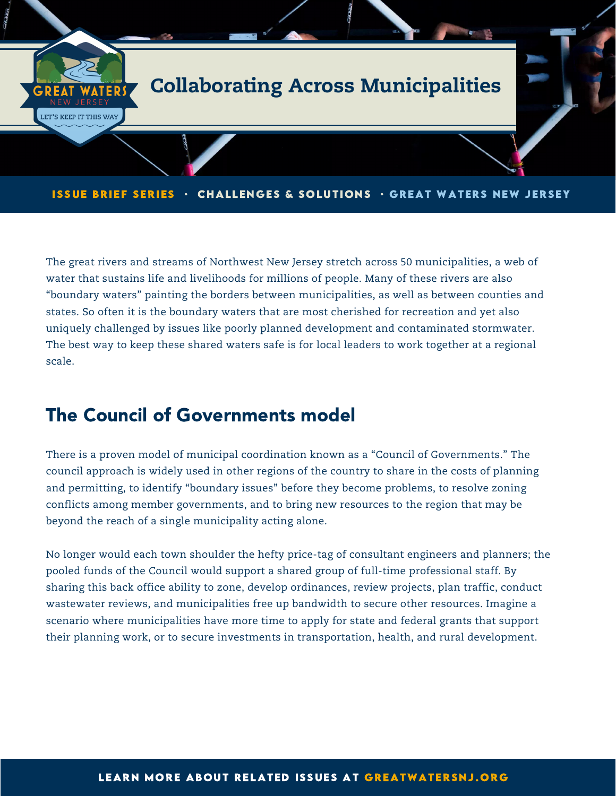

ISSUE BRIEF SERIES · CHALLENGES & SOLUTIONS · GREAT WATERS NEW JERSEY

The great rivers and streams of Northwest New Jersey stretch across 50 municipalities, a web of water that sustains life and livelihoods for millions of people. Many of these rivers are also "boundary waters" painting the borders between municipalities, as well as between counties and states. So often it is the boundary waters that are most cherished for recreation and yet also uniquely challenged by issues like poorly planned development and contaminated stormwater. The best way to keep these shared waters safe is for local leaders to work together at a regional scale.

## The Council of Governments model

There is a proven model of municipal coordination known as a "Council of Governments." The council approach is widely used in other regions of the country to share in the costs of planning and permitting, to identify "boundary issues" before they become problems, to resolve zoning conflicts among member governments, and to bring new resources to the region that may be beyond the reach of a single municipality acting alone.

No longer would each town shoulder the hefty price-tag of consultant engineers and planners; the pooled funds of the Council would support a shared group of full-time professional staff. By sharing this back office ability to zone, develop ordinances, review projects, plan traffic, conduct wastewater reviews, and municipalities free up bandwidth to secure other resources. Imagine a scenario where municipalities have more time to apply for state and federal grants that support their planning work, or to secure investments in transportation, health, and rural development.